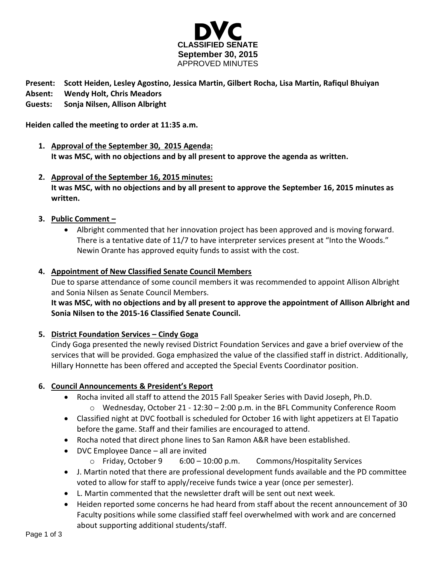

**Present: Scott Heiden, Lesley Agostino, Jessica Martin, Gilbert Rocha, Lisa Martin, Rafiqul Bhuiyan**

- **Absent: Wendy Holt, Chris Meadors**
- **Guests: Sonja Nilsen, Allison Albright**

**Heiden called the meeting to order at 11:35 a.m.**

- **1. Approval of the September 30, 2015 Agenda: It was MSC, with no objections and by all present to approve the agenda as written.**
- **2. Approval of the September 16, 2015 minutes: It was MSC, with no objections and by all present to approve the September 16, 2015 minutes as written.**
- **3. Public Comment –**
	- Albright commented that her innovation project has been approved and is moving forward. There is a tentative date of 11/7 to have interpreter services present at "Into the Woods." Newin Orante has approved equity funds to assist with the cost.

## **4. Appointment of New Classified Senate Council Members**

Due to sparse attendance of some council members it was recommended to appoint Allison Albright and Sonia Nilsen as Senate Council Members.

**It was MSC, with no objections and by all present to approve the appointment of Allison Albright and Sonia Nilsen to the 2015-16 Classified Senate Council.**

## **5. District Foundation Services – Cindy Goga**

Cindy Goga presented the newly revised District Foundation Services and gave a brief overview of the services that will be provided. Goga emphasized the value of the classified staff in district. Additionally, Hillary Honnette has been offered and accepted the Special Events Coordinator position.

## **6. Council Announcements & President's Report**

- Rocha invited all staff to attend the 2015 Fall Speaker Series with David Joseph, Ph.D. o Wednesday, October 21 - 12:30 – 2:00 p.m. in the BFL Community Conference Room
- Classified night at DVC football is scheduled for October 16 with light appetizers at El Tapatio before the game. Staff and their families are encouraged to attend.
- Rocha noted that direct phone lines to San Ramon A&R have been established.
- DVC Employee Dance all are invited
	- $\circ$  Friday, October 9  $\circ$  6:00 10:00 p.m. Commons/Hospitality Services
- J. Martin noted that there are professional development funds available and the PD committee voted to allow for staff to apply/receive funds twice a year (once per semester).
- L. Martin commented that the newsletter draft will be sent out next week.
- Heiden reported some concerns he had heard from staff about the recent announcement of 30 Faculty positions while some classified staff feel overwhelmed with work and are concerned about supporting additional students/staff.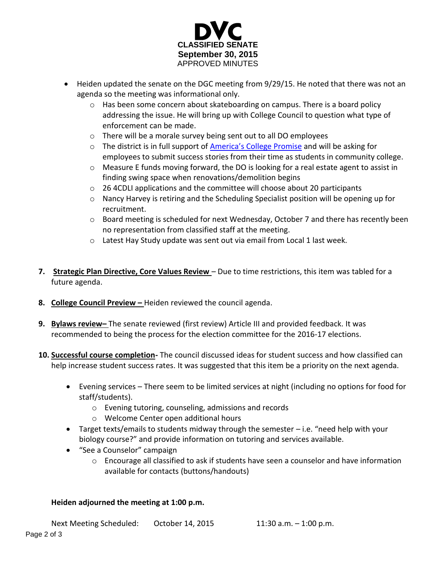

- Heiden updated the senate on the DGC meeting from 9/29/15. He noted that there was not an agenda so the meeting was informational only.
	- o Has been some concern about skateboarding on campus. There is a board policy addressing the issue. He will bring up with College Council to question what type of enforcement can be made.
	- o There will be a morale survey being sent out to all DO employees
	- o The district is in full support of [America's College Promise](https://www.whitehouse.gov/the-press-office/2015/01/09/fact-sheet-white-house-unveils-america-s-college-promise-proposal-tuitio) and will be asking for employees to submit success stories from their time as students in community college.
	- $\circ$  Measure E funds moving forward, the DO is looking for a real estate agent to assist in finding swing space when renovations/demolition begins
	- o 26 4CDLI applications and the committee will choose about 20 participants
	- o Nancy Harvey is retiring and the Scheduling Specialist position will be opening up for recruitment.
	- o Board meeting is scheduled for next Wednesday, October 7 and there has recently been no representation from classified staff at the meeting.
	- o Latest Hay Study update was sent out via email from Local 1 last week.
- **7. Strategic Plan Directive, Core Values Review** Due to time restrictions, this item was tabled for a future agenda.
- **8. College Council Preview –** Heiden reviewed the council agenda.
- **9. Bylaws review–** The senate reviewed (first review) Article III and provided feedback. It was recommended to being the process for the election committee for the 2016-17 elections.
- **10. Successful course completion-** The council discussed ideas for student success and how classified can help increase student success rates. It was suggested that this item be a priority on the next agenda.
	- Evening services There seem to be limited services at night (including no options for food for staff/students).
		- o Evening tutoring, counseling, admissions and records
		- o Welcome Center open additional hours
	- Target texts/emails to students midway through the semester i.e. "need help with your biology course?" and provide information on tutoring and services available.
	- "See a Counselor" campaign
		- o Encourage all classified to ask if students have seen a counselor and have information available for contacts (buttons/handouts)

## **Heiden adjourned the meeting at 1:00 p.m.**